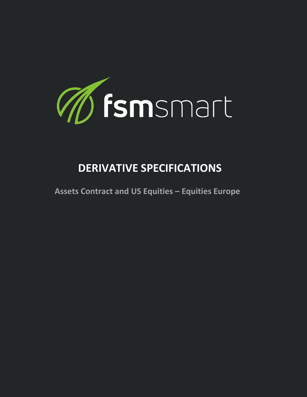

## **DERIVATIVE SPECIFICATIONS**

**Assets Contract and US Equities – Equities Europe**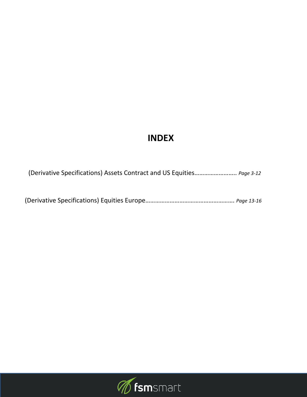## **INDEX**

(Derivative Specifications) Assets Contract and US Equities…………………….. *Page 3-12*

(Derivative Specifications) Equities Europe………………………………………………. *Page 13-16*

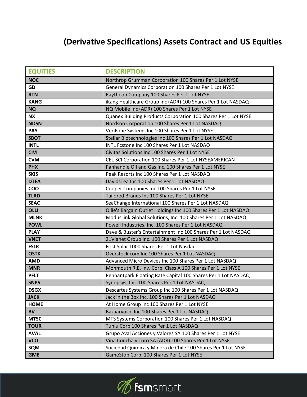## **(Derivative Specifications) Assets Contract and US Equities**

| <b>EQUITIES</b> | <b>DESCRIPTION</b>                                              |
|-----------------|-----------------------------------------------------------------|
| <b>NOC</b>      | Northrop Grumman Corporation 100 Shares Per 1 Lot NYSE          |
| GD              | General Dynamics Corporation 100 Shares Per 1 Lot NYSE          |
| <b>RTN</b>      | Raytheon Company 100 Shares Per 1 Lot NYSE                      |
| <b>KANG</b>     | iKang Healthcare Group Inc (ADR) 100 Shares Per 1 Lot NASDAQ    |
| <b>NQ</b>       | NQ Mobile Inc (ADR) 100 Shares Per 1 Lot NYSE                   |
| <b>NX</b>       | Quanex Building Products Corporation 100 Shares Per 1 Lot NYSE  |
| <b>NDSN</b>     | Nordson Corporation 100 Shares Per 1 Lot NASDAQ                 |
| <b>PAY</b>      | VeriFone Systems Inc 100 Shares Per 1 Lot NYSE                  |
| <b>SBOT</b>     | Stellar Biotechnologies Inc 100 Shares Per 1 Lot NASDAQ         |
| <b>INTL</b>     | INTL Fcstone Inc 100 Shares Per 1 Lot NASDAQ                    |
| <b>CIVI</b>     | Civitas Solutions Inc 100 Shares Per 1 Lot NYSE                 |
| <b>CVM</b>      | CEL-SCI Corporation 100 Shares Per 1 Lot NYSEAMERICAN           |
| <b>PHX</b>      | Panhandle Oil and Gas Inc. 100 Shares Per 1 Lot NYSE            |
| <b>SKIS</b>     | Peak Resorts Inc 100 Shares Per 1 Lot NASDAQ                    |
| <b>DTEA</b>     | DavidsTea Inc 100 Shares Per 1 Lot NASDAQ                       |
| COO             | Cooper Companies Inc 100 Shares Per 1 Lot NYSE                  |
| <b>TLRD</b>     | Tailored Brands Inc 100 Shares Per 1 Lot NYSE                   |
| <b>SEAC</b>     | SeaChange International 100 Shares Per 1 Lot NASDAQ             |
| <b>OLLI</b>     | Ollie's Bargain Outlet Holdings Inc 100 Shares Per 1 Lot NASDAQ |
| <b>MLNK</b>     | ModusLink Global Solutions, Inc. 100 Shares Per 1 Lot NASDAQ    |
| <b>POWL</b>     | Powell Industries, Inc. 100 Shares Per 1 Lot NASDAQ             |
| <b>PLAY</b>     | Dave & Buster's Entertainment Inc 100 Shares Per 1 Lot NASDAQ   |
| <b>VNET</b>     | 21 Vianet Group Inc. 100 Shares Per 1 Lot NASDAQ                |
| <b>FSLR</b>     | First Solar 1000 Shares Per 1 Lot Nasdaq                        |
| <b>OSTK</b>     | Overstock.com Inc 100 Shares Per 1 Lot NASDAQ                   |
| <b>AMD</b>      | Advanced Micro Devices Inc 100 Shares Per 1 Lot NASDAQ          |
| <b>MNR</b>      | Monmouth R.E. Inv. Corp. Class A 100 Shares Per 1 Lot NYSE      |
| <b>PFLT</b>     | Pennantpark Floating Rate Capital 100 Shares Per 1 Lot NASDAQ   |
| <b>SNPS</b>     | Synopsys, Inc. 100 Shares Per 1 Lot NASDAQ                      |
| <b>DSGX</b>     | Descartes Systems Group Inc 100 Shares Per 1 Lot NASDAQ         |
| <b>JACK</b>     | Jack in the Box Inc. 100 Shares Per 1 Lot NASDAQ                |
| <b>HOME</b>     | At Home Group Inc 100 Shares Per 1 Lot NYSE                     |
| <b>BV</b>       | Bazaarvoice Inc 100 Shares Per 1 Lot NASDAQ                     |
| <b>MTSC</b>     | MTS Systems Corporation 100 Shares Per 1 Lot NASDAQ             |
| <b>TOUR</b>     | Tuniu Corp 100 Shares Per 1 Lot NASDAQ                          |
| <b>AVAL</b>     | Grupo Aval Acciones y Valores SA 100 Shares Per 1 Lot NYSE      |
| <b>VCO</b>      | Vina Concha y Toro SA (ADR) 100 Shares Per 1 Lot NYSE           |
| SQM             | Sociedad Quimica y Minera de Chile 100 Shares Per 1 Lot NYSE    |
| <b>GME</b>      | GameStop Corp. 100 Shares Per 1 Lot NYSE                        |

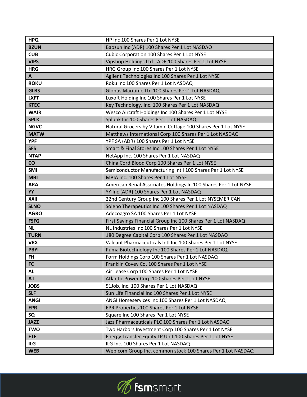| <b>HPQ</b>   | HP Inc 100 Shares Per 1 Lot NYSE                                |
|--------------|-----------------------------------------------------------------|
| <b>BZUN</b>  | Baozun Inc (ADR) 100 Shares Per 1 Lot NASDAQ                    |
| <b>CUB</b>   | Cubic Corporation 100 Shares Per 1 Lot NYSE                     |
| <b>VIPS</b>  | Vipshop Holdings Ltd - ADR 100 Shares Per 1 Lot NYSE            |
| <b>HRG</b>   | HRG Group Inc 100 Shares Per 1 Lot NYSE                         |
| $\mathsf{A}$ | Agilent Technologies Inc 100 Shares Per 1 Lot NYSE              |
| <b>ROKU</b>  | Roku Inc 100 Shares Per 1 Lot NASDAQ                            |
| <b>GLBS</b>  | Globus Maritime Ltd 100 Shares Per 1 Lot NASDAQ                 |
| <b>LXFT</b>  | Luxoft Holding Inc 100 Shares Per 1 Lot NYSE                    |
| <b>KTEC</b>  | Key Technology, Inc. 100 Shares Per 1 Lot NASDAQ                |
| <b>WAIR</b>  | Wesco Aircraft Holdings Inc 100 Shares Per 1 Lot NYSE           |
| <b>SPLK</b>  | Splunk Inc 100 Shares Per 1 Lot NASDAQ                          |
| <b>NGVC</b>  | Natural Grocers by Vitamin Cottage 100 Shares Per 1 Lot NYSE    |
| <b>MATW</b>  | Matthews International Corp 100 Shares Per 1 Lot NASDAQ         |
| <b>YPF</b>   | YPF SA (ADR) 100 Shares Per 1 Lot NYSE                          |
| <b>SFS</b>   | Smart & Final Stores Inc 100 Shares Per 1 Lot NYSE              |
| <b>NTAP</b>  | NetApp Inc. 100 Shares Per 1 Lot NASDAQ                         |
| CO           | China Cord Blood Corp 100 Shares Per 1 Lot NYSE                 |
| <b>SMI</b>   | Semiconductor Manufacturing Int'l 100 Shares Per 1 Lot NYSE     |
| <b>MBI</b>   | MBIA Inc. 100 Shares Per 1 Lot NYSE                             |
| <b>ARA</b>   | American Renal Associates Holdings In 100 Shares Per 1 Lot NYSE |
| YY           | YY Inc (ADR) 100 Shares Per 1 Lot NASDAQ                        |
| XXII         | 22nd Century Group Inc 100 Shares Per 1 Lot NYSEMERICAN         |
| <b>SLNO</b>  | Soleno Therapeutics Inc 100 Shares Per 1 Lot NASDAQ             |
| <b>AGRO</b>  | Adecoagro SA 100 Shares Per 1 Lot NYSE                          |
| <b>FSFG</b>  | First Savings Financial Group Inc 100 Shares Per 1 Lot NASDAQ   |
| <b>NL</b>    | NL Industries Inc 100 Shares Per 1 Lot NYSE                     |
| <b>TURN</b>  | 180 Degree Capital Corp 100 Shares Per 1 Lot NASDAQ             |
| <b>VRX</b>   | Valeant Pharmaceuticals Intl Inc 100 Shares Per 1 Lot NYSE      |
| <b>PBYI</b>  | Puma Biotechnology Inc 100 Shares Per 1 Lot NASDAQ              |
| <b>FH</b>    | Form Holdings Corp 100 Shares Per 1 Lot NASDAQ                  |
| <b>FC</b>    | Franklin Covey Co. 100 Shares Per 1 Lot NYSE                    |
| <b>AL</b>    | Air Lease Corp 100 Shares Per 1 Lot NYSE                        |
| <b>AT</b>    | Atlantic Power Corp 100 Shares Per 1 Lot NYSE                   |
| <b>JOBS</b>  | 51Job, Inc. 100 Shares Per 1 Lot NASDAQ                         |
| <b>SLF</b>   | Sun Life Financial Inc 100 Shares Per 1 Lot NYSE                |
| <b>ANGI</b>  | ANGI Homeservices Inc 100 Shares Per 1 Lot NASDAQ               |
| <b>EPR</b>   | EPR Properties 100 Shares Per 1 Lot NYSE                        |
| SQ           | Square Inc 100 Shares Per 1 Lot NYSE                            |
| <b>JAZZ</b>  | Jazz Pharmaceuticals PLC 100 Shares Per 1 Lot NASDAQ            |
| <b>TWO</b>   | Two Harbors Investment Corp 100 Shares Per 1 Lot NYSE           |
| <b>ETE</b>   | Energy Transfer Equity LP Unit 100 Shares Per 1 Lot NYSE        |
| ILG          | ILG Inc. 100 Shares Per 1 Lot NASDAQ                            |
| <b>WEB</b>   | Web.com Group Inc. common stock 100 Shares Per 1 Lot NASDAQ     |

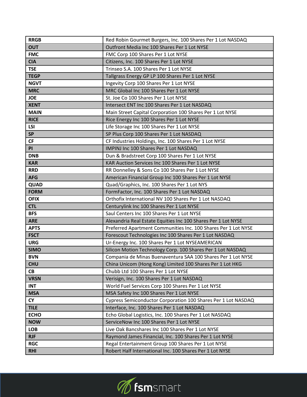| <b>RRGB</b> | Red Robin Gourmet Burgers, Inc. 100 Shares Per 1 Lot NASDAQ    |
|-------------|----------------------------------------------------------------|
| <b>OUT</b>  | Outfront Media Inc 100 Shares Per 1 Lot NYSE                   |
| <b>FMC</b>  | FMC Corp 100 Shares Per 1 Lot NYSE                             |
| <b>CIA</b>  | Citizens, Inc. 100 Shares Per 1 Lot NYSE                       |
| <b>TSE</b>  | Trinseo S.A. 100 Shares Per 1 Lot NYSE                         |
| <b>TEGP</b> | Tallgrass Energy GP LP 100 Shares Per 1 Lot NYSE               |
| <b>NGVT</b> | Ingevity Corp 100 Shares Per 1 Lot NYSE                        |
| <b>MRC</b>  | MRC Global Inc 100 Shares Per 1 Lot NYSE                       |
| <b>JOE</b>  | St. Joe Co 100 Shares Per 1 Lot NYSE                           |
| <b>XENT</b> | Intersect ENT Inc 100 Shares Per 1 Lot NASDAQ                  |
| <b>MAIN</b> | Main Street Capital Corporation 100 Shares Per 1 Lot NYSE      |
| <b>RICE</b> | Rice Energy Inc 100 Shares Per 1 Lot NYSE                      |
| <b>LSI</b>  | Life Storage Inc 100 Shares Per 1 Lot NYSE                     |
| <b>SP</b>   | SP Plus Corp 100 Shares Per 1 Lot NASDAQ                       |
| <b>CF</b>   | CF Industries Holdings, Inc. 100 Shares Per 1 Lot NYSE         |
| PI          | IMPINJ Inc 100 Shares Per 1 Lot NASDAQ                         |
| <b>DNB</b>  | Dun & Bradstreet Corp 100 Shares Per 1 Lot NYSE                |
| <b>KAR</b>  | KAR Auction Services Inc 100 Shares Per 1 Lot NYSE             |
| <b>RRD</b>  | RR Donnelley & Sons Co 100 Shares Per 1 Lot NYSE               |
| <b>AFG</b>  | American Financial Group Inc 100 Shares Per 1 Lot NYSE         |
| QUAD        | Quad/Graphics, Inc. 100 Shares Per 1 Lot NYS                   |
| <b>FORM</b> | FormFactor, Inc. 100 Shares Per 1 Lot NASDAQ                   |
| <b>OFIX</b> | Orthofix International NV 100 Shares Per 1 Lot NASDAQ          |
| <b>CTL</b>  | Centurylink Inc 100 Shares Per 1 Lot NYSE                      |
| <b>BFS</b>  | Saul Centers Inc 100 Shares Per 1 Lot NYSE                     |
| <b>ARE</b>  | Alexandria Real Estate Equities Inc 100 Shares Per 1 Lot NYSE  |
| <b>APTS</b> | Preferred Apartment Communities Inc. 100 Shares Per 1 Lot NYSE |
| <b>FSCT</b> | Forescout Technologies Inc 100 Shares Per 1 Lot NASDAQ         |
| <b>URG</b>  | Ur-Energy Inc. 100 Shares Per 1 Lot NYSEAMERICAN               |
| <b>SIMO</b> | Silicon Motion Technology Corp. 100 Shares Per 1 Lot NASDAQ    |
| <b>BVN</b>  | Compania de Minas Buenaventura SAA 100 Shares Per 1 Lot NYSE   |
| <b>CHU</b>  | China Unicom (Hong Kong) Limited 100 Shares Per 1 Lot HKG      |
| <b>CB</b>   | Chubb Ltd 100 Shares Per 1 Lot NYSE                            |
| <b>VRSN</b> | Verisign, Inc. 100 Shares Per 1 Lot NASDAQ                     |
| <b>INT</b>  | World Fuel Services Corp 100 Shares Per 1 Lot NYSE             |
| <b>MSA</b>  | MSA Safety Inc 100 Shares Per 1 Lot NYSE                       |
| <b>CY</b>   | Cypress Semiconductor Corporation 100 Shares Per 1 Lot NASDAQ  |
| <b>TILE</b> | Interface, Inc. 100 Shares Per 1 Lot NASDAQ                    |
| <b>ECHO</b> | Echo Global Logistics, Inc. 100 Shares Per 1 Lot NASDAQ        |
| <b>NOW</b>  | ServiceNow Inc 100 Shares Per 1 Lot NYSE                       |
| <b>LOB</b>  | Live Oak Bancshares Inc 100 Shares Per 1 Lot NYSE              |
| <b>RJF</b>  | Raymond James Financial, Inc. 100 Shares Per 1 Lot NYSE        |
| <b>RGC</b>  | Regal Entertainment Group 100 Shares Per 1 Lot NYSE            |
| <b>RHI</b>  | Robert Half International Inc. 100 Shares Per 1 Lot NYSE       |

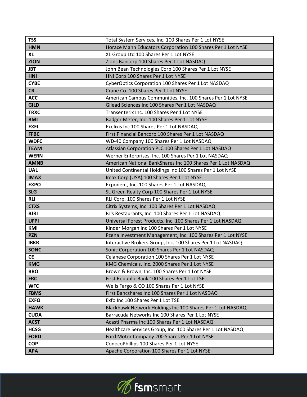| <b>TSS</b>  | Total System Services, Inc. 100 Shares Per 1 Lot NYSE        |
|-------------|--------------------------------------------------------------|
| <b>HMN</b>  | Horace Mann Educators Corporation 100 Shares Per 1 Lot NYSE  |
| <b>XL</b>   | XL Group Ltd 100 Shares Per 1 Lot NYSE                       |
| <b>ZION</b> | Zions Bancorp 100 Shares Per 1 Lot NASDAQ                    |
| <b>JBT</b>  | John Bean Technologies Corp 100 Shares Per 1 Lot NYSE        |
| <b>HNI</b>  | HNI Corp 100 Shares Per 1 Lot NYSE                           |
| <b>CYBE</b> | CyberOptics Corporation 100 Shares Per 1 Lot NASDAQ          |
| <b>CR</b>   | Crane Co. 100 Shares Per 1 Lot NYSE                          |
| <b>ACC</b>  | American Campus Communities, Inc. 100 Shares Per 1 Lot NYSE  |
| <b>GILD</b> | Gilead Sciences Inc 100 Shares Per 1 Lot NASDAQ              |
| <b>TRXC</b> | Transenterix Inc. 100 Shares Per 1 Lot NYSE                  |
| <b>BMI</b>  | Badger Meter, Inc. 100 Shares Per 1 Lot NYSE                 |
| <b>EXEL</b> | Exelixis Inc 100 Shares Per 1 Lot NASDAQ                     |
| <b>FFBC</b> | First Financial Bancorp 100 Shares Per 1 Lot NASDAQ          |
| <b>WDFC</b> | WD-40 Company 100 Shares Per 1 Lot NASDAQ                    |
| <b>TEAM</b> | Atlassian Corporation PLC 100 Shares Per 1 Lot NASDAQ        |
| <b>WERN</b> | Werner Enterprises, Inc. 100 Shares Per 1 Lot NASDAQ         |
| <b>AMNB</b> | American National BankShares Inc 100 Shares Per 1 Lot NASDAQ |
| <b>UAL</b>  | United Continental Holdings Inc 100 Shares Per 1 Lot NYSE    |
| <b>IMAX</b> | Imax Corp (USA) 100 Shares Per 1 Lot NYSE                    |
| <b>EXPO</b> | Exponent, Inc. 100 Shares Per 1 Lot NASDAQ                   |
| <b>SLG</b>  | SL Green Realty Corp 100 Shares Per 1 Lot NYSE               |
|             |                                                              |
| <b>RLI</b>  | RLI Corp. 100 Shares Per 1 Lot NYSE                          |
| <b>CTXS</b> | Citrix Systems, Inc. 100 Shares Per 1 Lot NASDAQ             |
| <b>BJRI</b> | BJ's Restaurants, Inc. 100 Shares Per 1 Lot NASDAQ           |
| <b>UFPI</b> | Universal Forest Products, Inc. 100 Shares Per 1 Lot NASDAQ  |
| KMI         | Kinder Morgan Inc 100 Shares Per 1 Lot NYSE                  |
| <b>PZN</b>  | Pzena Investment Management, Inc. 100 Shares Per 1 Lot NYSE  |
| <b>IBKR</b> | Interactive Brokers Group, Inc. 100 Shares Per 1 Lot NASDAQ  |
| <b>SONC</b> | Sonic Corporation 100 Shares Per 1 Lot NASDAQ                |
| <b>CE</b>   | Celanese Corporation 100 Shares Per 1 Lot NYSE               |
| <b>KMG</b>  | KMG Chemicals, Inc. 2000 Shares Per 1 Lot NYSE               |
| <b>BRO</b>  | Brown & Brown, Inc. 100 Shares Per 1 Lot NYSE                |
| <b>FRC</b>  | First Republic Bank 100 Shares Per 1 Lot TSE                 |
| <b>WFC</b>  | Wells Fargo & CO 100 Shares Per 1 Lot NYSE                   |
| <b>FBMS</b> | First Bancshares Inc 100 Shares Per 1 Lot NASDAQ             |
| <b>EXFO</b> | Exfo Inc 100 Shares Per 1 Lot TSE                            |
| <b>HAWK</b> | Blackhawk Network Holdings Inc 100 Shares Per 1 Lot NASDAQ   |
| <b>CUDA</b> | Barracuda Networks Inc 100 Shares Per 1 Lot NYSE             |
| <b>ACST</b> | Acasti Pharma Inc 100 Shares Per 1 Lot NASDAQ                |
| <b>HCSG</b> | Healthcare Services Group, Inc. 100 Shares Per 1 Lot NASDAQ  |
| <b>FORD</b> | Ford Motor Company 200 Shares Per 1 Lot NYSE                 |
| <b>COP</b>  | ConocoPhillips 100 Shares Per 1 Lot NYSE                     |

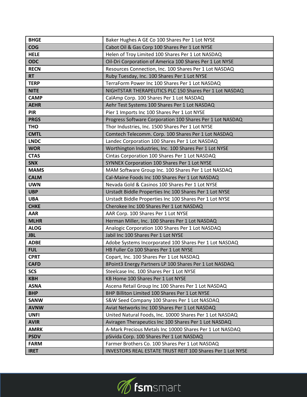| <b>BHGE</b> | Baker Hughes A GE Co 100 Shares Per 1 Lot NYSE             |
|-------------|------------------------------------------------------------|
| <b>COG</b>  | Cabot Oil & Gas Corp 100 Shares Per 1 Lot NYSE             |
| <b>HELE</b> | Helen of Troy Limited 100 Shares Per 1 Lot NASDAQ          |
| <b>ODC</b>  | Oil-Dri Corporation of America 100 Shares Per 1 Lot NYSE   |
| <b>RECN</b> | Resources Connection, Inc. 100 Shares Per 1 Lot NASDAQ     |
| <b>RT</b>   | Ruby Tuesday, Inc. 100 Shares Per 1 Lot NYSE               |
| <b>TERP</b> | TerraForm Power Inc 100 Shares Per 1 Lot NASDAQ            |
| <b>NITE</b> | NIGHTSTAR THERAPEUTICS PLC 150 Shares Per 1 Lot NASDAQ     |
| <b>CAMP</b> | CalAmp Corp. 100 Shares Per 1 Lot NASDAQ                   |
| <b>AEHR</b> | Aehr Test Systems 100 Shares Per 1 Lot NASDAQ              |
| <b>PIR</b>  | Pier 1 Imports Inc 100 Shares Per 1 Lot NYSE               |
| <b>PRGS</b> | Progress Software Corporation 100 Shares Per 1 Lot NASDAQ  |
| <b>THO</b>  | Thor Industries, Inc. 1500 Shares Per 1 Lot NYSE           |
| <b>CMTL</b> | Comtech Telecomm. Corp. 100 Shares Per 1 Lot NASDAQ        |
| <b>LNDC</b> | Landec Corporation 100 Shares Per 1 Lot NASDAQ             |
| <b>WOR</b>  | Worthington Industries, Inc. 100 Shares Per 1 Lot NYSE     |
| <b>CTAS</b> | Cintas Corporation 100 Shares Per 1 Lot NASDAQ             |
| <b>SNX</b>  | SYNNEX Corporation 100 Shares Per 1 Lot NYSE               |
| <b>MAMS</b> | MAM Software Group Inc. 100 Shares Per 1 Lot NASDAQ        |
| <b>CALM</b> | Cal-Maine Foods Inc 100 Shares Per 1 Lot NASDAQ            |
| <b>UWN</b>  | Nevada Gold & Casinos 100 Shares Per 1 Lot NYSE            |
| <b>UBP</b>  | Urstadt Biddle Properties Inc 100 Shares Per 1 Lot NYSE    |
| <b>UBA</b>  | Urstadt Biddle Properties Inc 100 Shares Per 1 Lot NYSE    |
| <b>CHKE</b> | Cherokee Inc 100 Shares Per 1 Lot NASDAQ                   |
| <b>AAR</b>  | AAR Corp. 100 Shares Per 1 Lot NYSE                        |
| <b>MLHR</b> | Herman Miller, Inc. 100 Shares Per 1 Lot NASDAQ            |
| <b>ALOG</b> | Analogic Corporation 100 Shares Per 1 Lot NASDAQ           |
| <b>JBL</b>  | Jabil Inc 100 Shares Per 1 Lot NYSE                        |
| <b>ADBE</b> | Adobe Systems Incorporated 100 Shares Per 1 Lot NASDAQ     |
| <b>FUL</b>  | HB Fuller Co 100 Shares Per 1 Lot NYSE                     |
| <b>CPRT</b> | Copart, Inc. 100 Shares Per 1 Lot NASDAQ                   |
| <b>CAFD</b> | 8Point3 Energy Partners LP 100 Shares Per 1 Lot NASDAQ     |
| <b>SCS</b>  | Steelcase Inc. 100 Shares Per 1 Lot NYSE                   |
| <b>KBH</b>  | KB Home 100 Shares Per 1 Lot NYSE                          |
| <b>ASNA</b> | Ascena Retail Group Inc 100 Shares Per 1 Lot NASDAQ        |
| <b>BHP</b>  | BHP Billiton Limited 100 Shares Per 1 Lot NYSE             |
| <b>SANW</b> | S&W Seed Company 100 Shares Per 1 Lot NASDAQ               |
| <b>AVNW</b> | Aviat Networks Inc 100 Shares Per 1 Lot NASDAQ             |
| <b>UNFI</b> | United Natural Foods, Inc. 10000 Shares Per 1 Lot NASDAQ   |
| <b>AVIR</b> | Aviragen Therapeutics Inc 100 Shares Per 1 Lot NASDAQ      |
| <b>AMRK</b> | A-Mark Precious Metals Inc 10000 Shares Per 1 Lot NASDAQ   |
| <b>PSDV</b> | pSivida Corp. 100 Shares Per 1 Lot NASDAQ                  |
| <b>FARM</b> | Farmer Brothers Co. 100 Shares Per 1 Lot NASDAQ            |
| <b>IRET</b> | INVESTORS REAL ESTATE TRUST REIT 100 Shares Per 1 Lot NYSE |

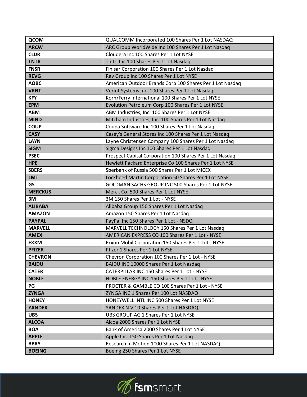| <b>QCOM</b>    | QUALCOMM Incorporated 100 Shares Per 1 Lot NASDAQ        |
|----------------|----------------------------------------------------------|
| <b>ARCW</b>    | ARC Group WorldWide Inc 100 Shares Per 1 Lot Nasdaq      |
| <b>CLDR</b>    | Cloudera Inc 100 Shares Per 1 Lot NYSE                   |
| <b>TNTR</b>    | Tintri Inc 100 Shares Per 1 Lot Nasdaq                   |
| <b>FNSR</b>    | Finisar Corporation 100 Shares Per 1 Lot Nasdaq          |
| <b>REVG</b>    | Rev Group Inc 100 Shares Per 1 Lot NYSE                  |
| <b>AOBC</b>    | American Outdoor Brands Corp 100 Shares Per 1 Lot Nasdaq |
| <b>VRNT</b>    | Verint Systems Inc. 100 Shares Per 1 Lot Nasdaq          |
| <b>KFY</b>     | Korn/Ferry International 100 Shares Per 1 Lot NYSE       |
| <b>EPM</b>     | Evolution Petroleum Corp 100 Shares Per 1 Lot NYSE       |
| <b>ABM</b>     | ABM Industries, Inc. 100 Shares Per 1 Lot NYSE           |
| <b>MIND</b>    | Mitcham Industries, Inc. 100 Shares Per 1 Lot Nasdaq     |
| <b>COUP</b>    | Coupa Software Inc 100 Shares Per 1 Lot Nasdaq           |
| <b>CASY</b>    | Casey's General Stores Inc 100 Shares Per 1 Lot Nasdaq   |
| <b>LAYN</b>    | Layne Christensen Company 100 Shares Per 1 Lot Nasdaq    |
| <b>SIGM</b>    | Sigma Designs Inc 100 Shares Per 1 Lot Nasdaq            |
| <b>PSEC</b>    | Prospect Capital Corporation 100 Shares Per 1 Lot Nasdaq |
| <b>HPE</b>     | Hewlett Packard Enterprise Co 100 Shares Per 1 Lot NYSE  |
| <b>SBERS</b>   | Sberbank of Russia 500 Shares Per 1 Lot MICEX            |
| <b>LMT</b>     | Lockheed Martin Corporation 50 Shares Per 1 Lot NYSE     |
| <b>GS</b>      | GOLDMAN SACHS GROUP INC 500 Shares Per 1 Lot NYSE        |
| <b>MERCKUS</b> | Merck Co. 500 Shares Per 1 Lot NYSE                      |
| 3M             | 3M 150 Shares Per 1 Lot - NYSE                           |
| <b>ALIBABA</b> | Alibaba Group 150 Shares Per 1 Lot Nasdaq                |
| <b>AMAZON</b>  | Amazon 150 Shares Per 1 Lot Nasdaq                       |
| <b>PAYPAL</b>  | PayPal Inc 150 Shares Per 1 Lot - NSDQ                   |
| <b>MARVELL</b> | MARVELL TECHNOLOGY 150 Shares Per 1 Lot Nasdaq           |
| <b>AMEX</b>    | AMERICAN EXPRESS CO 100 Shares Per 1 Lot - NYSE          |
| <b>EXXM</b>    | Exxon Mobil Corporation 150 Shares Per 1 Lot - NYSE      |
| <b>PFIZER</b>  | Pfizer 1 Shares Per 1 Lot NYSE                           |
| <b>CHEVRON</b> | Chevron Corporation 100 Shares Per 1 Lot - NYSE          |
| <b>BAIDU</b>   | BAIDU INC 10000 Shares Per 1 Lot Nasdaq                  |
| <b>CATER</b>   | CATERPILLAR INC 150 Shares Per 1 Lot - NYSE              |
| <b>NOBLE</b>   | NOBLE ENERGY INC 150 Shares Per 1 Lot - NYSE             |
| PG             | PROCTER & GAMBLE CO 100 Shares Per 1 Lot - NYSE          |
| <b>ZYNGA</b>   | ZYNGA INC 1 Shares Per 100 Lot NASDAQ                    |
| <b>HONEY</b>   | HONEYWELL INTL INC 500 Shares Per 1 Lot NYSE             |
| <b>YANDEX</b>  | YANDEX N V 10 Shares Per 1 Lot NASDAQ                    |
| <b>UBS</b>     | UBS GROUP AG 1 Shares Per 1 Lot NYSE                     |
| <b>ALCOA</b>   | Alcoa 2000 Shares Per 1 Lot NYSE                         |
| <b>BOA</b>     | Bank of America 2000 Shares Per 1 Lot NYSE               |
| <b>APPLE</b>   | Apple Inc. 150 Shares Per 1 Lot Nasdaq                   |
| <b>BBRY</b>    | Research In Motion 1000 Shares Per 1 Lot NASDAQ          |
| <b>BOEING</b>  | Boeing 250 Shares Per 1 Lot NYSE                         |

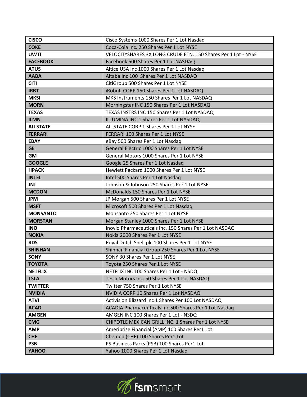| <b>CISCO</b>    | Cisco Systems 1000 Shares Per 1 Lot Nasdaq                    |
|-----------------|---------------------------------------------------------------|
| <b>COKE</b>     | Coca-Cola Inc. 250 Shares Per 1 Lot NYSE                      |
| <b>UWTI</b>     | VELOCITYSHARES 3X LONG CRUDE ETN. 150 Shares Per 1 Lot - NYSE |
| <b>FACEBOOK</b> | Facebook 500 Shares Per 1 Lot NASDAQ                          |
| <b>ATUS</b>     | Altice USA Inc 1000 Shares Per 1 Lot Nasdaq                   |
| <b>AABA</b>     | Altaba Inc 100 Shares Per 1 Lot NASDAQ                        |
| <b>CITI</b>     | CitiGroup 500 Shares Per 1 Lot NYSE                           |
| <b>IRBT</b>     | iRobot CORP 150 Shares Per 1 Lot NASDAQ                       |
| <b>MKSI</b>     | MKS Instruments 150 Shares Per 1 Lot NASDAQ                   |
| <b>MORN</b>     | Morningstar INC 150 Shares Per 1 Lot NASDAQ                   |
| <b>TEXAS</b>    | TEXAS INSTRS INC 150 Shares Per 1 Lot NASDAQ                  |
| <b>ILMN</b>     | ILLUMINA INC 1 Shares Per 1 Lot NASDAQ                        |
| <b>ALLSTATE</b> | ALLSTATE CORP 1 Shares Per 1 Lot NYSE                         |
| <b>FERRARI</b>  | FERRARI 100 Shares Per 1 Lot NYSE                             |
| <b>EBAY</b>     | eBay 500 Shares Per 1 Lot Nasdaq                              |
| <b>GE</b>       | General Electric 1000 Shares Per 1 Lot NYSE                   |
| <b>GM</b>       | General Motors 1000 Shares Per 1 Lot NYSE                     |
| <b>GOOGLE</b>   | Google 25 Shares Per 1 Lot Nasdaq                             |
| <b>HPACK</b>    | Hewlett Packard 1000 Shares Per 1 Lot NYSE                    |
| <b>INTEL</b>    | Intel 500 Shares Per 1 Lot Nasdaq                             |
| <b>JNJ</b>      | Johnson & Johnson 250 Shares Per 1 Lot NYSE                   |
| <b>MCDON</b>    | McDonalds 150 Shares Per 1 Lot NYSE                           |
| <b>JPM</b>      | JP Morgan 500 Shares Per 1 Lot NYSE                           |
| <b>MSFT</b>     | Microsoft 500 Shares Per 1 Lot Nasdaq                         |
| <b>MONSANTO</b> | Monsanto 250 Shares Per 1 Lot NYSE                            |
| <b>MORSTAN</b>  | Morgan Stanley 1000 Shares Per 1 Lot NYSE                     |
| <b>INO</b>      | Inovio Pharmaceuticals Inc. 150 Shares Per 1 Lot NASDAQ       |
| <b>NOKIA</b>    | Nokia 2000 Shares Per 1 Lot NYSE                              |
| <b>RDS</b>      | Royal Dutch Shell plc 100 Shares Per 1 Lot NYSE               |
| <b>SHINHAN</b>  | Shinhan Financial Group 250 Shares Per 1 Lot NYSE             |
| <b>SONY</b>     | SONY 30 Shares Per 1 Lot NYSE                                 |
| <b>TOYOTA</b>   | Toyota 250 Shares Per 1 Lot NYSE                              |
| <b>NETFLIX</b>  | NETFLIX INC 100 Shares Per 1 Lot - NSDQ                       |
| <b>TSLA</b>     | Tesla Motors Inc. 50 Shares Per 1 Lot NASDAQ                  |
| <b>TWITTER</b>  | Twitter 750 Shares Per 1 Lot NYSE                             |
| <b>NVIDIA</b>   | NVIDIA CORP 10 Shares Per 1 Lot NASDAQ                        |
| <b>ATVI</b>     | Activision Blizzard Inc 1 Shares Per 100 Lot NASDAQ           |
| <b>ACAD</b>     | ACADIA Pharmaceuticals Inc 500 Shares Per 1 Lot Nasdaq        |
| <b>AMGEN</b>    | AMGEN INC 100 Shares Per 1 Lot - NSDQ                         |
| <b>CMG</b>      | CHIPOTLE MEXICAN GRILL INC. 1 Shares Per 1 Lot NYSE           |
| <b>AMP</b>      | Ameriprise Financial (AMP) 100 Shares Per1 Lot                |
| <b>CHE</b>      | Chemed (CHE) 100 Shares Per1 Lot                              |
| <b>PSB</b>      | PS Business Parks (PSB) 100 Shares Per1 Lot                   |
| YAHOO           | Yahoo 1000 Shares Per 1 Lot Nasdaq                            |

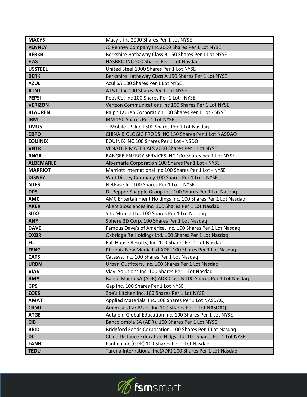| <b>MACYS</b>     | Macy's Inc 2000 Shares Per 1 Lot NYSE                         |
|------------------|---------------------------------------------------------------|
| <b>PENNEY</b>    | JC Penney Company Inc 2000 Shares Per 1 Lot NYSE              |
| <b>BERKB</b>     | Berkshire Hathaway Class B 150 Shares Per 1 Lot NYSE          |
| <b>HAS</b>       | HASBRO INC 500 Shares Per 1 Lot Nasdaq                        |
| <b>USSTEEL</b>   | United Steel 1000 Shares Per 1 Lot NYSE                       |
| <b>BERK</b>      | Berkshire Hathaway Class A 150 Shares Per 1 Lot NYSE          |
| <b>AZUL</b>      | Azul SA 100 Shares Per 1 Lot NYSE                             |
| <b>ATNT</b>      | AT&T, Inc 100 Shares Per 1 Lot NYSE                           |
| <b>PEPSI</b>     | PepsiCo, Inc 100 Shares Per 1 Lot - NYSE                      |
| <b>VERIZON</b>   | Verizon Communications Inc 100 Shares Per 1 Lot NYSE          |
| <b>RLAUREN</b>   | Ralph Lauren Corporation 100 Shares Per 1 Lot - NYSE          |
| <b>IBM</b>       | IBM 150 Shares Per 1 Lot NYSE                                 |
| <b>TMUS</b>      | T-Mobile US Inc 1500 Shares Per 1 Lot Nasdaq                  |
| <b>CBPO</b>      | CHINA BIOLOGIC PRODS INC 150 Shares Per 1 Lot NASDAQ          |
| <b>EQUINIX</b>   | EQUINIX INC 100 Shares Per 1 Lot - NSDQ                       |
| <b>VNTR</b>      | VENATOR MATERIALS 2000 Shares Per 1 Lot NYSE                  |
| <b>RNGR</b>      | RANGER ENERGY SERVICES INC 100 Shares per 1 Lot NYSE          |
| <b>ALBEMARLE</b> | Albemarle Corporation 100 Shares Per 1 Lot - NYSE             |
| <b>MARRIOT</b>   | Marriott International Inc 100 Shares Per 1 Lot - NYSE        |
| <b>DISNEY</b>    | Walt Disney Company 100 Shares Per 1 Lot - NYSE               |
| <b>NTES</b>      | NetEase Inc 100 Shares Per 1 Lot - NYSE                       |
| <b>DPS</b>       | Dr Pepper Snapple Group Inc. 100 Shares Per 1 Lot Nasdaq      |
| <b>AMC</b>       | AMC Entertainment Holdings Inc. 100 Shares Per 1 Lot Nasdaq   |
| <b>AKER</b>      | Akers Biosciences Inc. 100 Shares Per 1 Lot Nasdaq            |
| <b>SITO</b>      | Sito Mobile Ltd. 100 Shares Per 1 Lot Nasdaq                  |
| <b>ANY</b>       | Sphere 3D Corp. 100 Shares Per 1 Lot Nasdaq                   |
| <b>DAVE</b>      | Famous Dave's of America, Inc. 100 Shares Per 1 Lot Nasdaq    |
| <b>OXBR</b>      | Oxbridge Re Holdings Ltd. 100 Shares Per 1 Lot Nasdaq         |
| <b>FLL</b>       | Full House Resorts, Inc. 100 Shares Per 1 Lot Nasdaq          |
| <b>FENG</b>      | Phoenix New Media Ltd ADR. 100 Shares Per 1 Lot Nasdaq        |
| <b>CATS</b>      | Catasys, Inc. 100 Shares Per 1 Lot Nasdaq                     |
| <b>URBN</b>      | Urban Outfitters, Inc. 100 Shares Per 1 Lot Nasdaq            |
| <b>VIAV</b>      | Viavi Solutions Inc. 100 Shares Per 1 Lot Nasdaq              |
| <b>BMA</b>       | Banco Macro SA (ADR) ADR Class B 100 Shares Per 1 Lot Nasdaq  |
| <b>GPS</b>       | Gap Inc. 100 Shares Per 1 Lot NYSE                            |
| <b>ZOES</b>      | Zoe's Kitchen Inc. 100 Shares Per 1 Lot NYSE                  |
| <b>AMAT</b>      | Applied Materials, Inc. 100 Shares Per 1 Lot NASDAQ           |
| <b>CRMT</b>      | America's Car-Mart, Inc.100 Shares Per 1 Lot NASDAQ           |
| <b>ATGE</b>      | Adtalem Global Education Inc. 100 Shares Per 1 Lot NYSE       |
| <b>CIB</b>       | Bancolombia SA (ADR). 100 Shares Per 1 Lot NYSE               |
| <b>BRID</b>      | Bridgford Foods Corporation. 100 Shares Per 1 Lot Nasdaq      |
| <b>DL</b>        | China Distance Education Hldgs Ltd. 100 Shares Per 1 Lot NYSE |
| <b>FANH</b>      | Fanhua Inc (GDR) 100 Shares Per 1 Lot Nasdaq                  |
| <b>TEDU</b>      | Tarena International Inc(ADR) 100 Shares Per 1 Lot Nasdaq     |

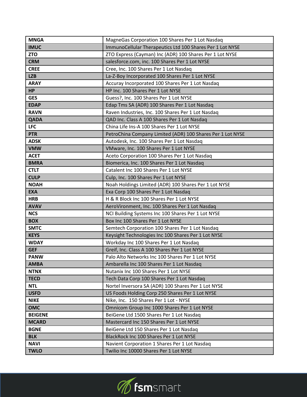| <b>MNGA</b>    | MagneGas Corporation 100 Shares Per 1 Lot Nasdaq           |
|----------------|------------------------------------------------------------|
| <b>IMUC</b>    | ImmunoCellular Therapeutics Ltd 100 Shares Per 1 Lot NYSE  |
| <b>ZTO</b>     | ZTO Express (Cayman) Inc (ADR) 100 Shares Per 1 Lot NYSE   |
| <b>CRM</b>     | salesforce.com, inc. 100 Shares Per 1 Lot NYSE             |
| <b>CREE</b>    | Cree, Inc. 100 Shares Per 1 Lot Nasdaq                     |
| <b>LZB</b>     | La-Z-Boy Incorporated 100 Shares Per 1 Lot NYSE            |
| <b>ARAY</b>    | Accuray Incorporated 100 Shares Per 1 Lot Nasdaq           |
| <b>HP</b>      | HP Inc. 100 Shares Per 1 Lot NYSE                          |
| <b>GES</b>     | Guess?, Inc. 100 Shares Per 1 Lot NYSE                     |
| <b>EDAP</b>    | Edap Tms SA (ADR) 100 Shares Per 1 Lot Nasdaq              |
| <b>RAVN</b>    | Raven Industries, Inc. 100 Shares Per 1 Lot Nasdaq         |
| <b>QADA</b>    | QAD Inc. Class A 100 Shares Per 1 Lot Nasdaq               |
| <b>LFC</b>     | China Life Ins-A 100 Shares Per 1 Lot NYSE                 |
| <b>PTR</b>     | PetroChina Company Limited (ADR) 100 Shares Per 1 Lot NYSE |
| <b>ADSK</b>    | Autodesk, Inc. 100 Shares Per 1 Lot Nasdaq                 |
| <b>VMW</b>     | VMware, Inc. 100 Shares Per 1 Lot NYSE                     |
| <b>ACET</b>    | Aceto Corporation 100 Shares Per 1 Lot Nasdaq              |
| <b>BMRA</b>    | Biomerica, Inc. 100 Shares Per 1 Lot Nasdaq                |
| <b>CTLT</b>    | Catalent Inc 100 Shares Per 1 Lot NYSE                     |
| <b>CULP</b>    | Culp, Inc. 100 Shares Per 1 Lot NYSE                       |
| <b>NOAH</b>    | Noah Holdings Limited (ADR) 100 Shares Per 1 Lot NYSE      |
| <b>EXA</b>     | Exa Corp 100 Shares Per 1 Lot Nasdaq                       |
| <b>HRB</b>     | H & R Block Inc 100 Shares Per 1 Lot NYSE                  |
| <b>AVAV</b>    | AeroVironment, Inc. 100 Shares Per 1 Lot Nasdaq            |
| <b>NCS</b>     | NCI Building Systems Inc 100 Shares Per 1 Lot NYSE         |
| <b>BOX</b>     | Box Inc 100 Shares Per 1 Lot NYSE                          |
| <b>SMTC</b>    | Semtech Corporation 100 Shares Per 1 Lot Nasdaq            |
| <b>KEYS</b>    | Keysight Technologies Inc 100 Shares Per 1 Lot NYSE        |
| <b>WDAY</b>    | Workday Inc 100 Shares Per 1 Lot Nasdaq                    |
| <b>GEF</b>     | Greif, Inc. Class A 100 Shares Per 1 Lot NYSE              |
| <b>PANW</b>    | Palo Alto Networks Inc 100 Shares Per 1 Lot NYSE           |
| <b>AMBA</b>    | Ambarella Inc 100 Shares Per 1 Lot Nasdaq                  |
| <b>NTNX</b>    | Nutanix Inc 100 Shares Per 1 Lot NYSE                      |
| <b>TECD</b>    | Tech Data Corp 100 Shares Per 1 Lot Nasdaq                 |
| <b>NTL</b>     | Nortel Inversora SA (ADR) 100 Shares Per 1 Lot NYSE        |
| <b>USFD</b>    | US Foods Holding Corp 250 Shares Per 1 Lot NYSE            |
| <b>NIKE</b>    | Nike, Inc. 150 Shares Per 1 Lot - NYSE                     |
| <b>OMC</b>     | Omnicom Group Inc 1000 Shares Per 1 Lot NYSE               |
| <b>BEIGENE</b> | BeiGene Ltd 1500 Shares Per 1 Lot Nasdaq                   |
| <b>MCARD</b>   | Mastercard Inc 150 Shares Per 1 Lot NYSE                   |
| <b>BGNE</b>    | BeiGene Ltd 150 Shares Per 1 Lot Nasdaq                    |
| <b>BLK</b>     | BlackRock Inc 100 Shares Per 1 Lot NYSE                    |
| <b>NAVI</b>    | Navient Corporation 1 Shares Per 1 Lot Nasdaq              |
| <b>TWLO</b>    | Twilio Inc 10000 Shares Per 1 Lot NYSE                     |

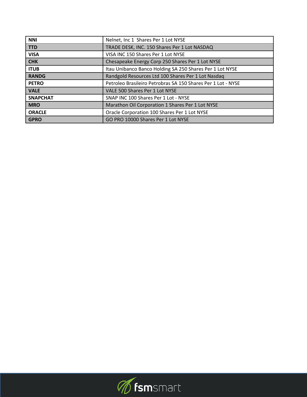| <b>NNI</b>      | Nelnet, Inc 1 Shares Per 1 Lot NYSE                          |
|-----------------|--------------------------------------------------------------|
| <b>TTD</b>      | TRADE DESK, INC. 150 Shares Per 1 Lot NASDAQ                 |
| <b>VISA</b>     | VISA INC 150 Shares Per 1 Lot NYSE                           |
| <b>CHK</b>      | Chesapeake Energy Corp 250 Shares Per 1 Lot NYSE             |
| <b>ITUB</b>     | Itau Unibanco Banco Holding SA 250 Shares Per 1 Lot NYSE     |
| <b>RANDG</b>    | Randgold Resources Ltd 100 Shares Per 1 Lot Nasdaq           |
| <b>PETRO</b>    | Petroleo Brasileiro Petrobras SA 150 Shares Per 1 Lot - NYSE |
| <b>VALE</b>     | VALE 500 Shares Per 1 Lot NYSE                               |
| <b>SNAPCHAT</b> | SNAP INC 100 Shares Per 1 Lot - NYSE                         |
| <b>MRO</b>      | Marathon Oil Corporation 1 Shares Per 1 Lot NYSE             |
| <b>ORACLE</b>   | Oracle Corporation 100 Shares Per 1 Lot NYSE                 |
| <b>GPRO</b>     | GO PRO 10000 Shares Per 1 Lot NYSE                           |

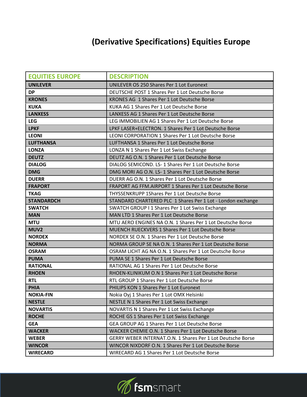## **(Derivative Specifications) Equities Europe**

| <b>EQUITIES EUROPE</b> | <b>DESCRIPTION</b>                                          |
|------------------------|-------------------------------------------------------------|
| <b>UNILEVER</b>        | <b>UNILEVER OS 250 Shares Per 1 Lot Euronext</b>            |
| <b>DP</b>              | DEUTSCHE POST 1 Shares Per 1 Lot Deutsche Borse             |
| <b>KRONES</b>          | KRONES AG 1 Shares Per 1 Lot Deutsche Borse                 |
| <b>KUKA</b>            | KUKA AG 1 Shares Per 1 Lot Deutsche Borse                   |
| <b>LANXESS</b>         | LANXESS AG 1 Shares Per 1 Lot Deutsche Borse                |
| <b>LEG</b>             | LEG IMMOBILIEN AG 1 Shares Per 1 Lot Deutsche Borse         |
| <b>LPKF</b>            | LPKF LASER+ELECTRON. 1 Shares Per 1 Lot Deutsche Borse      |
| <b>LEONI</b>           | LEONI CORPORATION 1 Shares Per 1 Lot Deutsche Borse         |
| <b>LUFTHANSA</b>       | LUFTHANSA 1 Shares Per 1 Lot Deutsche Borse                 |
| <b>LONZA</b>           | LONZA N 1 Shares Per 1 Lot Swiss Exchange                   |
| <b>DEUTZ</b>           | DEUTZ AG O.N. 1 Shares Per 1 Lot Deutsche Borse             |
| <b>DIALOG</b>          | DIALOG SEMICOND. LS-1 Shares Per 1 Lot Deutsche Borse       |
| <b>DMG</b>             | DMG MORI AG O.N. LS-1 Shares Per 1 Lot Deutsche Borse       |
| <b>DUERR</b>           | DUERR AG O.N. 1 Shares Per 1 Lot Deutsche Borse             |
| <b>FRAPORT</b>         | FRAPORT AG FFM.AIRPORT 1 Shares Per 1 Lot Deutsche Borse    |
| <b>TKAG</b>            | THYSSENKRUPP 1Shares Per 1 Lot Deutsche Borse               |
| <b>STANDARDCH</b>      | STANDARD CHARTERED PLC 1 Shares Per 1 Lot - London exchange |
| <b>SWATCH</b>          | SWATCH GROUP I 1 Shares Per 1 Lot Swiss Exchange            |
| <b>MAN</b>             | MAN LTD 1 Shares Per 1 Lot Deutsche Borse                   |
| <b>MTU</b>             | MTU AERO ENGINES NA O.N. 1 Shares Per 1 Lot Deutsche Borse  |
| MUV <sub>2</sub>       | MUENCH RUECKVERS 1 Shares Per 1 Lot Deutsche Borse          |
| <b>NORDEX</b>          | NORDEX SE O.N. 1 Shares Per 1 Lot Deutsche Borse            |
| <b>NORMA</b>           | NORMA GROUP SE NA O.N. 1 Shares Per 1 Lot Deutsche Borse    |
| <b>OSRAM</b>           | OSRAM LICHT AG NA O.N. 1 Shares Per 1 Lot Deutsche Borse    |
| <b>PUMA</b>            | PUMA SE 1 Shares Per 1 Lot Deutsche Borse                   |
| <b>RATIONAL</b>        | RATIONAL AG 1 Shares Per 1 Lot Deutsche Borse               |
| <b>RHOEN</b>           | RHOEN-KLINIKUM O.N 1 Shares Per 1 Lot Deutsche Borse        |
| <b>RTL</b>             | RTL GROUP 1 Shares Per 1 Lot Deutsche Borse                 |
| <b>PHIA</b>            | PHILIPS KON 1 Shares Per 1 Lot Euronext                     |
| <b>NOKIA-FIN</b>       | Nokia Oyj 1 Shares Per 1 Lot OMX Helsinki                   |
| <b>NESTLE</b>          | NESTLE N 1 Shares Per 1 Lot Swiss Exchange                  |
| <b>NOVARTIS</b>        | NOVARTIS N 1 Shares Per 1 Lot Swiss Exchange                |
| <b>ROCHE</b>           | ROCHE GS 1 Shares Per 1 Lot Swiss Exchange                  |
| <b>GEA</b>             | GEA GROUP AG 1 Shares Per 1 Lot Deutsche Borse              |
| <b>WACKER</b>          | WACKER CHEMIE O.N. 1 Shares Per 1 Lot Deutsche Borse        |
| <b>WEBER</b>           | GERRY WEBER INTERNAT.O.N. 1 Shares Per 1 Lot Deutsche Borse |
| <b>WINCOR</b>          | WINCOR NIXDORF O.N. 1 Shares Per 1 Lot Deutsche Borse       |
| <b>WIRECARD</b>        | WIRECARD AG 1 Shares Per 1 Lot Deutsche Borse               |

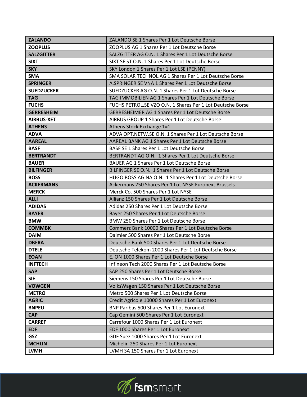| <b>ZALANDO</b>    | ZALANDO SE 1 Shares Per 1 Lot Deutsche Borse               |
|-------------------|------------------------------------------------------------|
| <b>ZOOPLUS</b>    | ZOOPLUS AG 1 Shares Per 1 Lot Deutsche Borse               |
| <b>SALZGITTER</b> | SALZGITTER AG O.N. 1 Shares Per 1 Lot Deutsche Borse       |
| <b>SIXT</b>       | SIXT SE ST O.N. 1 Shares Per 1 Lot Deutsche Borse          |
| <b>SKY</b>        | SKY London 1 Shares Per 1 Lot LSE (PENNY)                  |
| <b>SMA</b>        | SMA SOLAR TECHNOL.AG 1 Shares Per 1 Lot Deutsche Borse     |
| <b>SPRINGER</b>   | A.SPRINGER SE VNA 1 Shares Per 1 Lot Deutsche Borse        |
| <b>SUEDZUCKER</b> | SUEDZUCKER AG O.N. 1 Shares Per 1 Lot Deutsche Borse       |
| <b>TAG</b>        | TAG IMMOBILIEN AG 1 Shares Per 1 Lot Deutsche Borse        |
| <b>FUCHS</b>      | FUCHS PETROL.SE VZO O.N. 1 Shares Per 1 Lot Deutsche Borse |
| <b>GERRESHEIM</b> | <b>GERRESHEIMER AG 1 Shares Per 1 Lot Deutsche Borse</b>   |
| <b>AIRBUS-XET</b> | AIRBUS GROUP 1 Shares Per 1 Lot Deutsche Borse             |
| <b>ATHENS</b>     | Athens Stock Exchange 1=1                                  |
| <b>ADVA</b>       | ADVA OPT.NETW.SE O.N. 1 Shares Per 1 Lot Deutsche Borse    |
| <b>AAREAL</b>     | AAREAL BANK AG 1 Shares Per 1 Lot Deutsche Borse           |
| <b>BASF</b>       | BASF SE 1 Shares Per 1 Lot Deutsche Borse                  |
| <b>BERTRANDT</b>  | BERTRANDT AG O.N. 1 Shares Per 1 Lot Deutsche Borse        |
| <b>BAUER</b>      | BAUER AG 1 Shares Per 1 Lot Deutsche Borse                 |
| <b>BILFINGER</b>  | BILFINGER SE O.N. 1 Shares Per 1 Lot Deutsche Borse        |
| <b>BOSS</b>       | HUGO BOSS AG NA O.N. 1 Shares Per 1 Lot Deutsche Borse     |
| <b>ACKERMANS</b>  | Ackermans 250 Shares Per 1 Lot NYSE Euronext Brussels      |
| <b>MERCK</b>      | Merck Co. 500 Shares Per 1 Lot NYSE                        |
| <b>ALLI</b>       | Allianz 150 Shares Per 1 Lot Deutsche Borse                |
| <b>ADIDAS</b>     | Adidas 250 Shares Per 1 Lot Deutsche Borse                 |
| <b>BAYER</b>      | Bayer 250 Shares Per 1 Lot Deutsche Borse                  |
| <b>BMW</b>        | BMW 250 Shares Per 1 Lot Deutsche Borse                    |
| <b>COMMBK</b>     | Commerz Bank 10000 Shares Per 1 Lot Deutsche Borse         |
| <b>DAIM</b>       | Daimler 500 Shares Per 1 Lot Deutsche Borse                |
| <b>DBFRA</b>      | Deutsche Bank 500 Shares Per 1 Lot Deutsche Borse          |
| <b>DTELE</b>      | Deutsche Telekom 2000 Shares Per 1 Lot Deutsche Borse      |
| <b>EOAN</b>       | E. ON 1000 Shares Per 1 Lot Deutsche Borse                 |
| <b>INFTECH</b>    | Infineon Tech 2000 Shares Per 1 Lot Deutsche Borse         |
| <b>SAP</b>        | SAP 250 Shares Per 1 Lot Deutsche Borse                    |
| <b>SIE</b>        | Siemens 150 Shares Per 1 Lot Deutsche Borse                |
| <b>VOWGEN</b>     | VolksWagen 150 Shares Per 1 Lot Deutsche Borse             |
| <b>METRO</b>      | Metro 500 Shares Per 1 Lot Deutsche Borse                  |
| <b>AGRIC</b>      | Credit Agricole 10000 Shares Per 1 Lot Euronext            |
| <b>BNPEU</b>      | BNP Paribas 500 Shares Per 1 Lot Euronext                  |
| <b>CAP</b>        | Cap Gemini 500 Shares Per 1 Lot Euronext                   |
| <b>CARREF</b>     | Carrefour 1000 Shares Per 1 Lot Euronext                   |
| <b>EDF</b>        | EDF 1000 Shares Per 1 Lot Euronext                         |
| GSZ               | GDF Suez 1000 Shares Per 1 Lot Euronext                    |
| <b>MCHLIN</b>     | Michelin 250 Shares Per 1 Lot Euronext                     |
| <b>LVMH</b>       | LVMH SA 150 Shares Per 1 Lot Euronext                      |

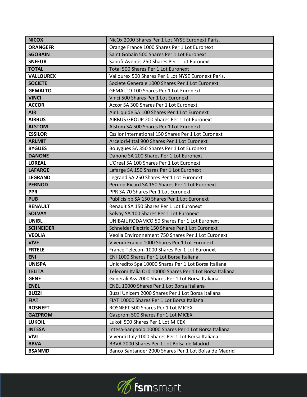| <b>NICOX</b>     | NicOx 2000 Shares Per 1 Lot NYSE Euronext Paris.         |
|------------------|----------------------------------------------------------|
| <b>ORANGEFR</b>  | Orange France 1000 Shares Per 1 Lot Euronext             |
| <b>SGOBAIN</b>   | Saint Gobain 500 Shares Per 1 Lot Euronext               |
| <b>SNFEUR</b>    | Sanofi-Aventis 250 Shares Per 1 Lot Euronext             |
| <b>TOTAL</b>     | <b>Total 500 Shares Per 1 Lot Euronext</b>               |
| <b>VALLOUREX</b> | Vallourex 500 Shares Per 1 Lot NYSE Euronext Paris.      |
| <b>SOCIETE</b>   | Societe Generale 1000 Shares Per 1 Lot Euronext          |
| <b>GEMALTO</b>   | <b>GEMALTO 100 Shares Per 1 Lot Euronext</b>             |
| <b>VINCI</b>     | Vinci 500 Shares Per 1 Lot Euronext                      |
| <b>ACCOR</b>     | Accor SA 300 Shares Per 1 Lot Euronext                   |
| <b>AIR</b>       | Air Liquide SA 100 Shares Per 1 Lot Euronext             |
| <b>AIRBUS</b>    | AIRBUS GROUP 200 Shares Per 1 Lot Euronext               |
| <b>ALSTOM</b>    | Alstom SA 500 Shares Per 1 Lot Euronext                  |
| <b>ESSILOR</b>   | Essilor International 150 Shares Per 1 Lot Euronext      |
| <b>ARLMIT</b>    | ArcelorMittal 900 Shares Per 1 Lot Euronext              |
| <b>BYGUES</b>    | Bouygues SA 350 Shares Per 1 Lot Euronext                |
| <b>DANONE</b>    | Danone SA 200 Shares Per 1 Lot Euronext                  |
| <b>LOREAL</b>    | L'Oreal SA 100 Shares Per 1 Lot Euronext                 |
| <b>LAFARGE</b>   | Lafarge SA 150 Shares Per 1 Lot Euronext                 |
| <b>LEGRAND</b>   | Legrand SA 250 Shares Per 1 Lot Euronext                 |
| <b>PERNOD</b>    | Pernod Ricard SA 150 Shares Per 1 Lot Euronext           |
| <b>PPR</b>       | PPR SA 70 Shares Per 1 Lot Euronext                      |
| <b>PUB</b>       | Publicis pb SA 150 Shares Per 1 Lot Euronext             |
| <b>RENAULT</b>   | Renault SA 150 Shares Per 1 Lot Euronext                 |
| <b>SOLVAY</b>    | Solvay SA 100 Shares Per 1 Lot Euronext                  |
| <b>UNIBL</b>     | UNIBAIL RODAMCO 50 Shares Per 1 Lot Euronext             |
| <b>SCHNEIDER</b> | Schneider Electric 150 Shares Per 1 Lot Euronext         |
| <b>VEOLIA</b>    | Veolia Environnement 750 Shares Per 1 Lot Euronext       |
| <b>VIVF</b>      | Vivendi France 1000 Shares Per 1 Lot Euronext            |
| <b>FRTELE</b>    | France Telecom 1000 Shares Per 1 Lot Euronext            |
| <b>ENI</b>       | ENI 1000 Shares Per 1 Lot Borsa Italiana                 |
| <b>UNISPA</b>    | Unicredito Spa 10000 Shares Per 1 Lot Borsa Italiana     |
| <b>TELITA</b>    | Telecom Italia Ord 10000 Shares Per 1 Lot Borsa Italiana |
| <b>GENE</b>      | Generali Ass 2000 Shares Per 1 Lot Borsa Italiana        |
| <b>ENEL</b>      | ENEL 10000 Shares Per 1 Lot Borsa Italiana               |
| <b>BUZZI</b>     | Buzzi Unicem 2000 Shares Per 1 Lot Borsa Italiana        |
| <b>FIAT</b>      | FIAT 10000 Shares Per 1 Lot Borsa Italiana               |
| <b>ROSNEFT</b>   | ROSNEFT 500 Shares Per 1 Lot MICEX                       |
| <b>GAZPROM</b>   | Gazprom 500 Shares Per 1 Lot MICEX                       |
| <b>LUKOIL</b>    | Lukoil 500 Shares Per 1 Lot MICEX                        |
| <b>INTESA</b>    | Intesa-Sanpaolo 10000 Shares Per 1 Lot Borsa Italiana    |
| <b>VIVI</b>      | Vivendi Italy 1000 Shares Per 1 Lot Borsa Italiana       |
| <b>BBVA</b>      | BBVA 2000 Shares Per 1 Lot Bolsa de Madrid               |
| <b>BSANMD</b>    | Banco Santander 2000 Shares Per 1 Lot Bolsa de Madrid    |